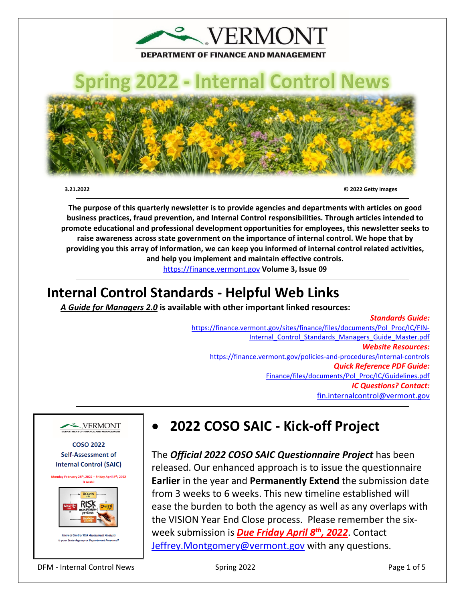

# **Spring 2022 - Internal Control News**



 **3.21.2022 © 2022 Getty Images**

**The purpose of this quarterly newsletter is to provide agencies and departments with articles on good business practices, fraud prevention, and Internal Control responsibilities. Through articles intended to promote educational and professional development opportunities for employees, this newsletter seeks to raise awareness across state government on the importance of internal control. We hope that by providing you this array of information, we can keep you informed of internal control related activities, and help you implement and maintain effective controls.** 

[https://finance.vermont.gov](https://finance.vermont.gov/) **Volume 3, Issue 09** 

## **Internal Control Standards - Helpful Web Links**

j

*A Guide for Managers 2.0* **is available with other important linked resources:** 

### *Standards Guide:*

[https://finance.vermont.gov/sites/finance/files/documents/Pol\\_Proc/IC/FIN-](https://finance.vermont.gov/sites/finance/files/documents/Pol_Proc/IC/FIN-Internal_Control_Standards_Managers_Guide_Master.pdf)Internal Control Standards Managers Guide Master.pdf *Website Resources:*  <https://finance.vermont.gov/policies-and-procedures/internal-controls> *Quick Reference PDF Guide:*  [Finance/files/documents/Pol\\_Proc/IC/Guidelines.pdf](https://finance.vermont.gov/sites/finance/files/documents/Pol_Proc/IC/IC%20Guidelines.pdf) *IC Questions? Contact:* [fin.internalcontrol@vermont.gov](mailto:fin.internalcontrol@vermont.gov)



**COSO 2022 Self-Assessment of Internal Control (SAIC)** 





• **2022 COSO SAIC - Kick-off Project** 

The *Official 2022 COSO SAIC Questionnaire Project* has been released. Our enhanced approach is to issue the questionnaire **Earlier** in the year and **Permanently Extend** the submission date from 3 weeks to 6 weeks. This new timeline established will ease the burden to both the agency as well as any overlaps with the VISION Year End Close process. Please remember the sixweek submission is *Due Friday April 8th, 2022*. Contact [Jeffrey.Montgomery@vermont.gov](mailto:Jeffrey.Montgomery@vermont.gov) with any questions.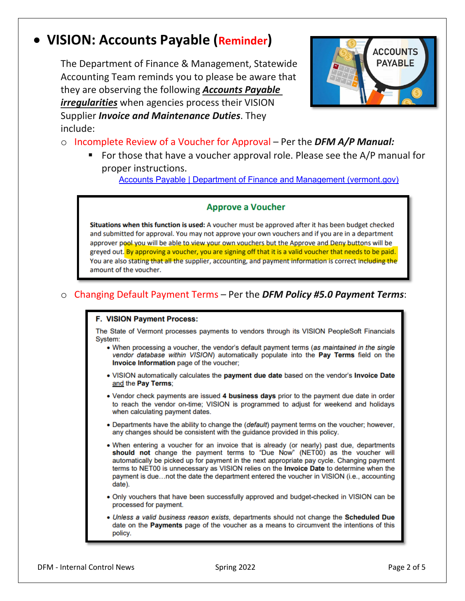## • **VISION: Accounts Payable (Reminder)**

The Department of Finance & Management, Statewide Accounting Team reminds you to please be aware that they are observing the following *Accounts Payable irregularities* when agencies process their VISION Supplier *Invoice and Maintenance Duties*. They include:



- o Incomplete Review of a Voucher for Approval Per the *DFM A/P Manual:*
	- For those that have a voucher approval role. Please see the A/P manual for proper instructions.

[Accounts Payable | Department of Finance and Management \(vermont.gov\)](https://finance.vermont.gov/vision-module-support/accounts-payable)

#### **Approve a Voucher**

Situations when this function is used: A voucher must be approved after it has been budget checked and submitted for approval. You may not approve your own vouchers and if you are in a department approver pool you will be able to view your own youchers but the Approve and Deny buttons will be greyed out. By approving a voucher, you are signing off that it is a valid voucher that needs to be paid. You are also stating that all the supplier, accounting, and payment information is correct including the amount of the voucher.

#### o Changing Default Payment Terms – Per the *DFM Policy #5.0 Payment Terms*:

#### F. VISION Payment Process:

The State of Vermont processes payments to vendors through its VISION PeopleSoft Financials System:

- . When processing a voucher, the vendor's default payment terms (as maintained in the single vendor database within VISION) automatically populate into the Pay Terms field on the Invoice Information page of the voucher;
- . VISION automatically calculates the payment due date based on the vendor's Invoice Date and the Pay Terms;
- Vendor check payments are issued 4 business days prior to the payment due date in order to reach the vendor on-time; VISION is programmed to adjust for weekend and holidays when calculating payment dates.
- Departments have the ability to change the (*default*) payment terms on the voucher; however, any changes should be consistent with the guidance provided in this policy.
- . When entering a voucher for an invoice that is already (or nearly) past due, departments should not change the payment terms to "Due Now" (NET00) as the voucher will automatically be picked up for payment in the next appropriate pay cycle. Changing payment terms to NET00 is unnecessary as VISION relies on the Invoice Date to determine when the payment is due...not the date the department entered the voucher in VISION (i.e., accounting date).
- . Only vouchers that have been successfully approved and budget-checked in VISION can be processed for payment.
- . Unless a valid business reason exists, departments should not change the Scheduled Due date on the **Payments** page of the voucher as a means to circumvent the intentions of this policy.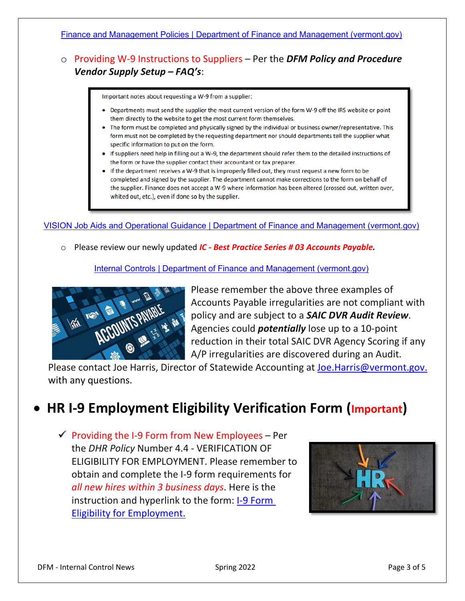#### [Finance and Management Policies | Department of Finance and Management \(vermont.gov\)](https://finance.vermont.gov/policies-and-procedures/finance-and-management-policies)

### o Providing W-9 Instructions to Suppliers – Per the *DFM Policy and Procedure Vendor Supply Setup – FAQ's*:

Important notes about requesting a W-9 from a supplier:

- Departments must send the supplier the most current version of the form W-9 off the IRS website or point them directly to the website to get the most current form themselves.
- The form must be completed and physically signed by the individual or business owner/representative. This form must not be completed by the requesting department nor should departments tell the supplier what specific information to put on the form.
- If suppliers need help in filling out a W-9, the department should refer them to the detailed instructions of the form or have the supplier contact their accountant or tax preparer.
- If the department receives a W-9 that is improperly filled out, they must request a new form to be completed and signed by the supplier. The department cannot make corrections to the form on behalf of the supplier. Finance does not accept a W-9 where information has been altered (crossed out, written over, whited out, etc.), even if done so by the supplier.

[VISION Job Aids and Operational Guidance | Department of Finance and Management \(vermont.gov\)](https://finance.vermont.gov/training-and-support/vision-job-aids-and-operational-guidance)

o Please review our newly updated *IC - Best Practice Series # 03 Accounts Payable.*

[Internal Controls | Department of Finance and Management \(vermont.gov\)](https://finance.vermont.gov/policies-and-procedures/internal-controls)



Please remember the above three examples of Accounts Payable irregularities are not compliant with policy and are subject to a *SAIC DVR Audit Review*. Agencies could *potentially* lose up to a 10-point reduction in their total SAIC DVR Agency Scoring if any A/P irregularities are discovered during an Audit.

Please contact Joe Harris, Director of Statewide Accounting at [Joe.Harris@vermont.gov.](mailto:Joe.Harris@vermont.gov) with any questions.

## • **HR I-9 Employment Eligibility Verification Form (Important)**

 $\checkmark$  Providing the I-9 Form from New Employees – Per the *DHR Policy* Number 4.4 - VERIFICATION OF ELIGIBILITY FOR EMPLOYMENT. Please remember to obtain and complete the I-9 form requirements for *all new hires within 3 business days*. Here is the instruction and hyperlink to the form: [I-9 Form](https://humanresources.vermont.gov/sites/humanresources/files/documents/Labor_Relations_Policy_EEO/Policy_Procedure_Manual/Number_4.4_VERIFICATION_OF_ELIGIBILITY_FOR_EMPLOYMENT.pdf)  [Eligibility for Employment.](https://humanresources.vermont.gov/sites/humanresources/files/documents/Labor_Relations_Policy_EEO/Policy_Procedure_Manual/Number_4.4_VERIFICATION_OF_ELIGIBILITY_FOR_EMPLOYMENT.pdf)

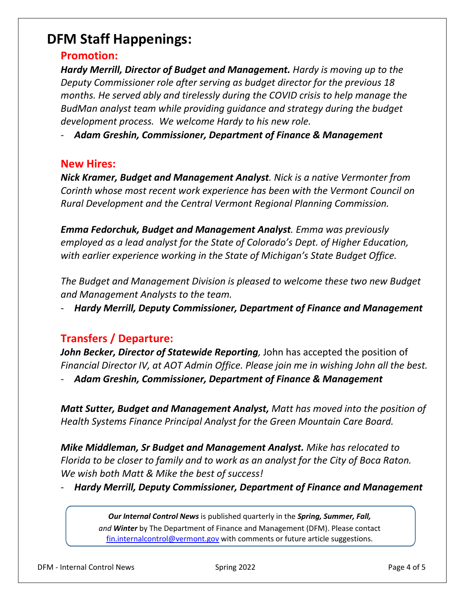## **DFM Staff Happenings:**

### **Promotion:**

*Hardy Merrill, Director of Budget and Management. Hardy is moving up to the Deputy Commissioner role after serving as budget director for the previous 18 months. He served ably and tirelessly during the COVID crisis to help manage the BudMan analyst team while providing guidance and strategy during the budget development process. We welcome Hardy to his new role.* 

- *Adam Greshin, Commissioner, Department of Finance & Management* 

#### **New Hires:**

*Nick Kramer, Budget and Management Analyst. Nick is a native Vermonter from Corinth whose most recent work experience has been with the Vermont Council on Rural Development and the Central Vermont Regional Planning Commission.* 

*Emma Fedorchuk, Budget and Management Analyst. Emma was previously employed as a lead analyst for the State of Colorado's Dept. of Higher Education, with earlier experience working in the State of Michigan's State Budget Office.* 

*The Budget and Management Division is pleased to welcome these two new Budget and Management Analysts to the team.* 

- *Hardy Merrill, Deputy Commissioner, Department of Finance and Management* 

### **Transfers / Departure:**

**John Becker, Director of Statewide Reporting**, John has accepted the position of *Financial Director IV, at AOT Admin Office. Please join me in wishing John all the best.* 

- *Adam Greshin, Commissioner, Department of Finance & Management*

*Matt Sutter, Budget and Management Analyst, Matt has moved into the position of Health Systems Finance Principal Analyst for the Green Mountain Care Board.* 

*Mike Middleman, Sr Budget and Management Analyst. Mike has relocated to Florida to be closer to family and to work as an analyst for the City of Boca Raton. We wish both Matt & Mike the best of success!* 

- *Hardy Merrill, Deputy Commissioner, Department of Finance and Management* 

*Our Internal Control News* is published quarterly in the *Spring, Summer, Fall, and Winter* by The Department of Finance and Management (DFM). Please contact [fin.internalcontrol@vermont.gov](mailto:fin.internalcontrol@vermont.gov) with comments or future article suggestions.